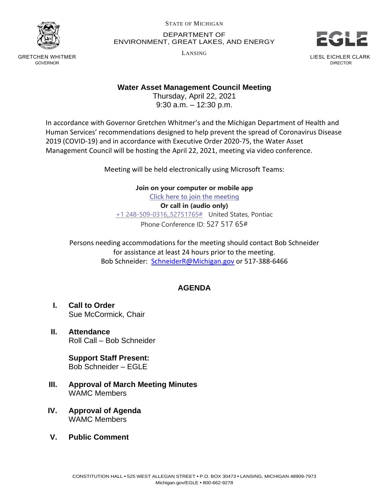

GRETCHEN WHITMER GOVERNOR

STATE OF MICHIGAN

DEPARTMENT OF ENVIRONMENT, GREAT LAKES, AND ENERGY

LANSING



## **Water Asset Management Council Meeting**

Thursday, April 22, 2021 9:30 a.m. – 12:30 p.m.

In accordance with Governor Gretchen Whitmer's and the Michigan Department of Health and Human Services' recommendations designed to help prevent the spread of Coronavirus Disease 2019 (COVID-19) and in accordance with Executive Order 2020-75, the Water Asset Management Council will be hosting the April 22, 2021, meeting via video conference.

Meeting will be held electronically using Microsoft Teams:

**Join on your computer or mobile app [Click here to join the meeting](https://teams.microsoft.com/l/meetup-join/19%3ameeting_YjMyZjRkNzctOWQ3NS00OWEyLTk0YzMtYzVmNDM1OGZmZjBm%40thread.v2/0?context=%7b%22Tid%22%3a%22d5fb7087-3777-42ad-966a-892ef47225d1%22%2c%22Oid%22%3a%2216f2c2b8-1c1d-41c3-a65e-eb4dcd9b8051%22%7d) Or call in (audio only)** [+1 248-509-0316,,52751765#](tel:+12485090316,,52751765# ) United States, Pontiac Phone Conference ID: 527 517 65#

Persons needing accommodations for the meeting should contact Bob Schneider for assistance at least 24 hours prior to the meeting. Bob Schneider: [SchneiderR@Michigan.gov](mailto:SchneiderR@Michigan.gov) or 517-388-6466

## **AGENDA**

- **I. Call to Order** Sue McCormick, Chair
- **II. Attendance** Roll Call – Bob Schneider

**Support Staff Present:** Bob Schneider – EGLE

- **III. Approval of March Meeting Minutes** WAMC Members
- **IV. Approval of Agenda** WAMC Members
- **V. Public Comment**